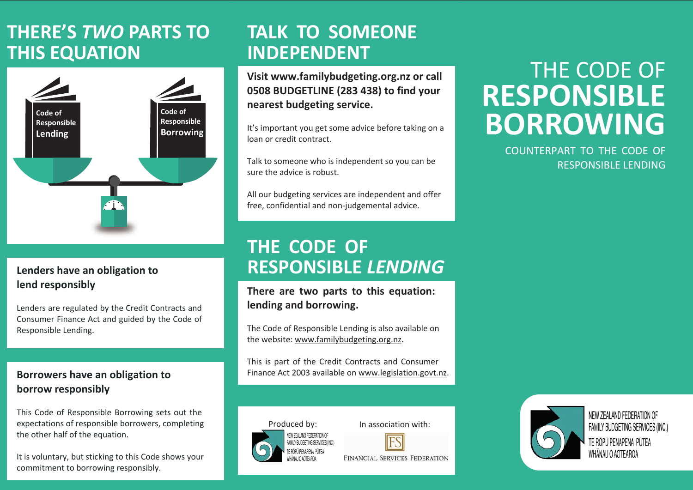# **THERE'S** *TWO* **PARTS TO THIS EQUATION**



#### **Lenders have an obligation to lend responsibly**

Lenders are regulated by the Credit Contracts and Consumer Finance Act and guided by the Code of Responsible Lending.

#### **Borrowers have an obligation to borrow responsibly**

This Code of Responsible Borrowing sets out the expectations of responsible borrowers, completing the other half of the equation.

It is voluntary, but sticking to this Code shows your commitment to borrowing responsibly.

# **TALK TO SOMEONE INDEPENDENT**

**Visit www.familybudgeting.org.nz or call 0508 BUDGETLINE (283 438) to find your nearest budgeting service.**

It's important you get some advice before taking on a loan or credit contract.

Talk to someone who is independent so you can be sure the advice is robust.

All our budgeting services are independent and offer free, confidential and non-judgemental advice.

## **THE CODE OF RESPONSIBLE** *LENDING*

#### **There are two parts to this equation: lending and borrowing.**

The Code of Responsible Lending is also available on the website: www.familybudgeting.org.nz.

This is part of the Credit Contracts and Consumer Finance Act 2003 available on www.legislation.govt.nz.



In association with:



**FINANCIAL SERVICES FEDERATION** 

# THE CODE OF **RESPONSIBLE BORROWING**

COUNTERPART TO THE CODE OF RESPONSIBLE LENDING



NEW ZEALAND FEDERATION OF FAMILY BUDGETING SERVICES (INC.) TE RŌPŪ PENAPENA PŪTEA WHANAU O AOTEAROA